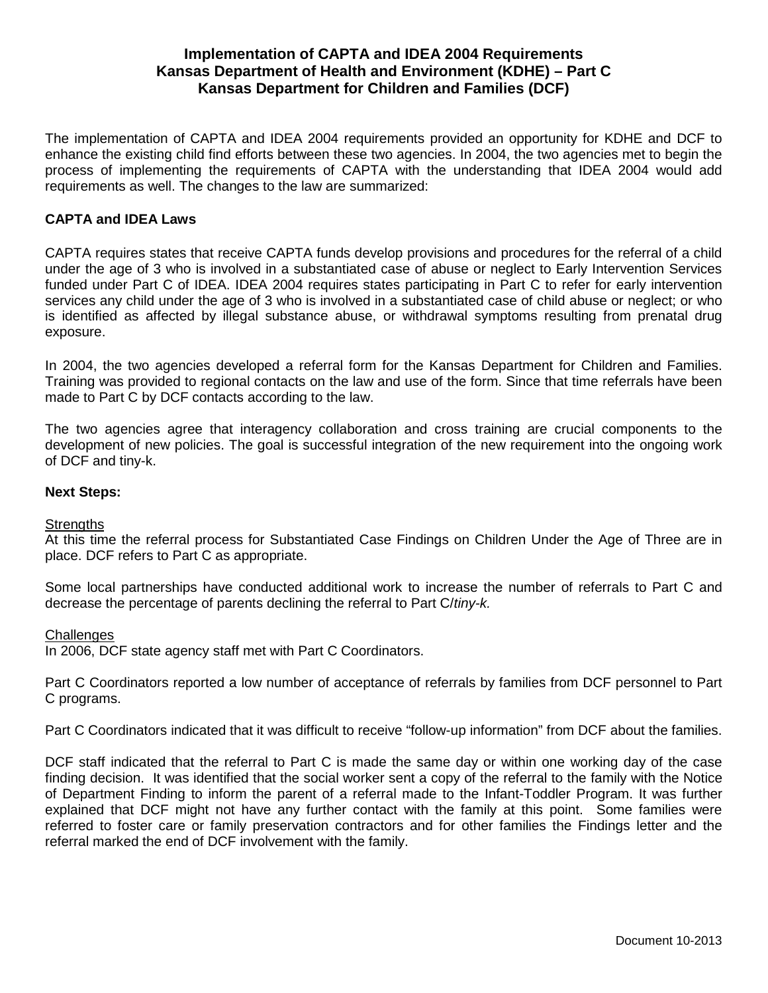# **Implementation of CAPTA and IDEA 2004 Requirements Kansas Department of Health and Environment (KDHE) – Part C Kansas Department for Children and Families (DCF)**

The implementation of CAPTA and IDEA 2004 requirements provided an opportunity for KDHE and DCF to enhance the existing child find efforts between these two agencies. In 2004, the two agencies met to begin the process of implementing the requirements of CAPTA with the understanding that IDEA 2004 would add requirements as well. The changes to the law are summarized:

## **CAPTA and IDEA Laws**

[CAPTA](http://www.nectac.org/topics/earlyid/captalaw.asp) requires states that receive CAPTA funds develop provisions and procedures for the referral of a child under the age of 3 who is involved in a substantiated case of abuse or neglect to Early Intervention Services funded under Part C of IDEA. [IDEA 2004](http://www.nectac.org/topics/earlyid/captalaw.asp) requires states participating in Part C to refer for early intervention services any child under the age of 3 who is involved in a substantiated case of child abuse or neglect; or who is identified as affected by illegal substance abuse, or withdrawal symptoms resulting from prenatal drug exposure.

In 2004, the two agencies developed a referral form for the Kansas Department for Children and Families. Training was provided to regional contacts on the law and use of the form. Since that time referrals have been made to Part C by DCF contacts according to the law.

The two agencies agree that interagency collaboration and cross training are crucial components to the development of new policies. The goal is successful integration of the new requirement into the ongoing work of DCF and tiny-k.

### **Next Steps:**

## **Strengths**

At this time the referral process for Substantiated Case Findings on Children Under the Age of Three are in place. DCF refers to Part C as appropriate.

Some local partnerships have conducted additional work to increase the number of referrals to Part C and decrease the percentage of parents declining the referral to Part C/*tiny-k.*

#### **Challenges**

In 2006, DCF state agency staff met with Part C Coordinators.

Part C Coordinators reported a low number of acceptance of referrals by families from DCF personnel to Part C programs.

Part C Coordinators indicated that it was difficult to receive "follow-up information" from DCF about the families.

DCF staff indicated that the referral to Part C is made the same day or within one working day of the case finding decision. It was identified that the social worker sent a copy of the referral to the family with the Notice of Department Finding to inform the parent of a referral made to the Infant-Toddler Program. It was further explained that DCF might not have any further contact with the family at this point. Some families were referred to foster care or family preservation contractors and for other families the Findings letter and the referral marked the end of DCF involvement with the family.